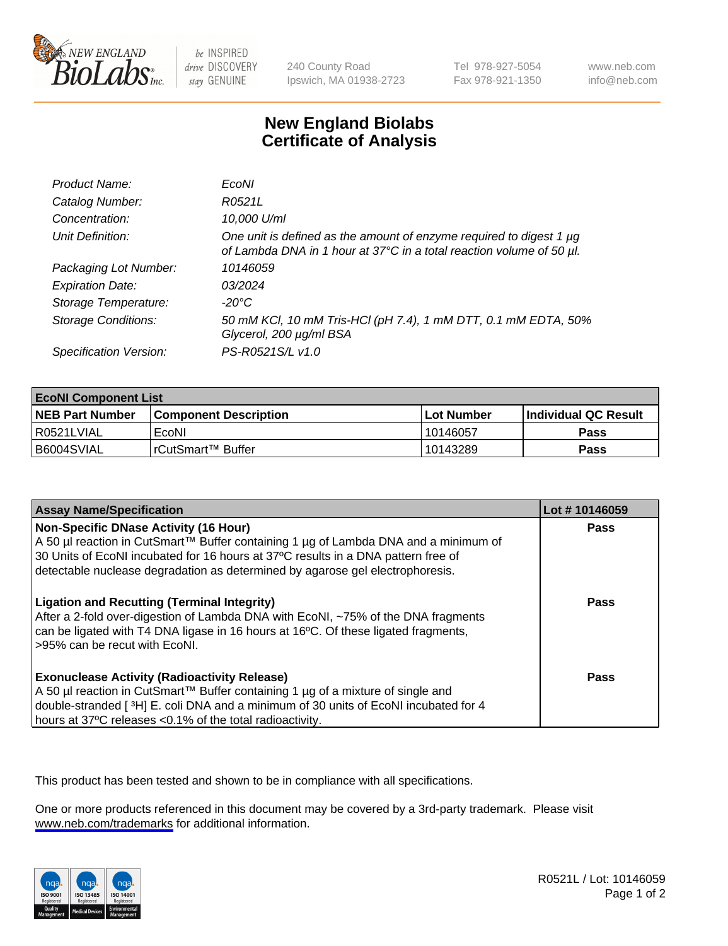

be INSPIRED drive DISCOVERY stay GENUINE

240 County Road Ipswich, MA 01938-2723 Tel 978-927-5054 Fax 978-921-1350

www.neb.com info@neb.com

## **New England Biolabs Certificate of Analysis**

| Product Name:              | EcoNI                                                                                                                                       |
|----------------------------|---------------------------------------------------------------------------------------------------------------------------------------------|
| Catalog Number:            | R0521L                                                                                                                                      |
| Concentration:             | 10,000 U/ml                                                                                                                                 |
| Unit Definition:           | One unit is defined as the amount of enzyme required to digest 1 µg<br>of Lambda DNA in 1 hour at 37°C in a total reaction volume of 50 µl. |
| Packaging Lot Number:      | 10146059                                                                                                                                    |
| <b>Expiration Date:</b>    | 03/2024                                                                                                                                     |
| Storage Temperature:       | -20°C                                                                                                                                       |
| <b>Storage Conditions:</b> | 50 mM KCl, 10 mM Tris-HCl (pH 7.4), 1 mM DTT, 0.1 mM EDTA, 50%<br>Glycerol, 200 µg/ml BSA                                                   |
| Specification Version:     | PS-R0521S/L v1.0                                                                                                                            |

| <b>EcoNI Component List</b> |                         |              |                             |  |
|-----------------------------|-------------------------|--------------|-----------------------------|--|
| <b>NEB Part Number</b>      | l Component Description | l Lot Number | <b>Individual QC Result</b> |  |
| I R0521LVIAL                | EcoNI                   | 10146057     | Pass                        |  |
| B6004SVIAL                  | !rCutSmart™ Buffer_     | 10143289     | Pass                        |  |

| <b>Assay Name/Specification</b>                                                                                                                                                                                                                                                                           | Lot #10146059 |
|-----------------------------------------------------------------------------------------------------------------------------------------------------------------------------------------------------------------------------------------------------------------------------------------------------------|---------------|
| <b>Non-Specific DNase Activity (16 Hour)</b><br>A 50 µl reaction in CutSmart™ Buffer containing 1 µg of Lambda DNA and a minimum of<br>30 Units of EcoNI incubated for 16 hours at 37°C results in a DNA pattern free of<br>detectable nuclease degradation as determined by agarose gel electrophoresis. | Pass          |
| <b>Ligation and Recutting (Terminal Integrity)</b><br>After a 2-fold over-digestion of Lambda DNA with EcoNI, ~75% of the DNA fragments<br>can be ligated with T4 DNA ligase in 16 hours at 16°C. Of these ligated fragments,<br>>95% can be recut with EcoNI.                                            | Pass          |
| <b>Exonuclease Activity (Radioactivity Release)</b><br>A 50 µl reaction in CutSmart™ Buffer containing 1 µg of a mixture of single and<br>double-stranded [3H] E. coli DNA and a minimum of 30 units of EcoNI incubated for 4<br>hours at 37°C releases <0.1% of the total radioactivity.                 | Pass          |

This product has been tested and shown to be in compliance with all specifications.

One or more products referenced in this document may be covered by a 3rd-party trademark. Please visit <www.neb.com/trademarks>for additional information.